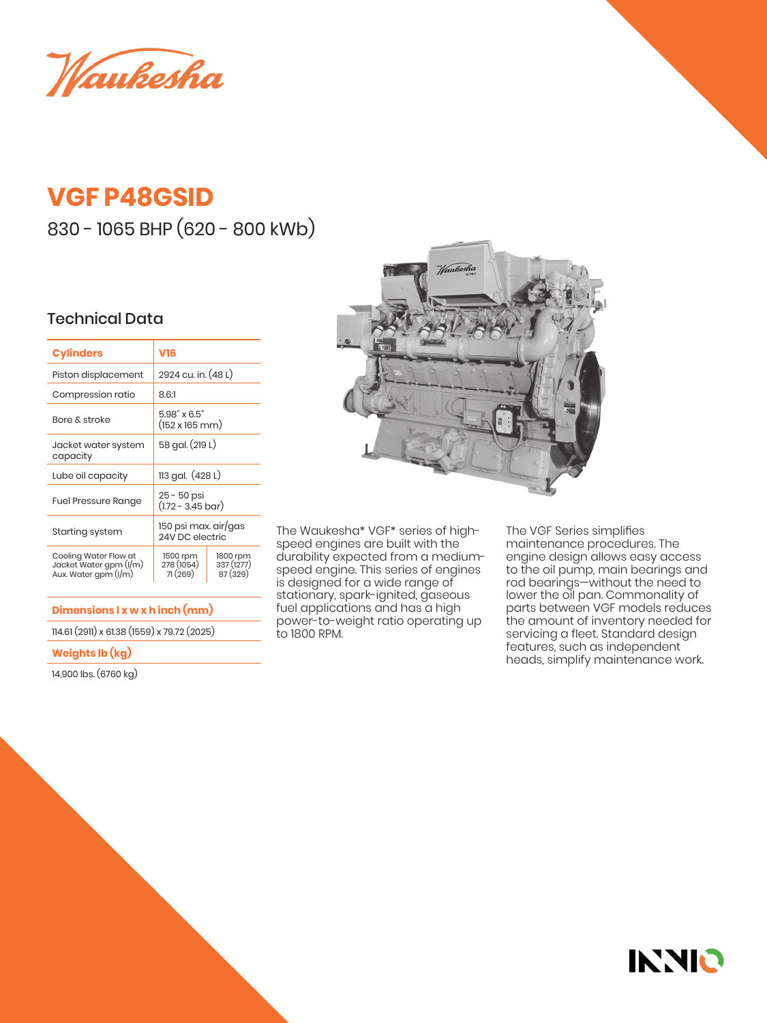Waukesha

## **VGF P48GSID**

830 - 1065 BHP (620 - 800 kWb)

## Technical Data

| <b>Cylinders</b>                                                        | V16                                                  |                                   |  |
|-------------------------------------------------------------------------|------------------------------------------------------|-----------------------------------|--|
| Piston displacement                                                     | 2924 cu. in. (48 L)                                  |                                   |  |
| Compression ratio                                                       | 8.61                                                 |                                   |  |
| Bore & stroke                                                           | $5.98" \times 6.5"$<br>$(152 \times 165 \text{ mm})$ |                                   |  |
| Jacket water system<br>capacity                                         | 58 gal. (219 L)                                      |                                   |  |
| Lube oil capacity                                                       | 113 gal. (428 L)                                     |                                   |  |
| <b>Fuel Pressure Range</b>                                              | 25 - 50 psi<br>$(1.72 - 3.45 \text{ bar})$           |                                   |  |
| Starting system                                                         | 150 psi max. air/gas<br>24V DC electric              |                                   |  |
| Cooling Water Flow at<br>Jacket Water gpm (I/m)<br>Aux. Water gpm (I/m) | 1500 rpm<br>278 (1054)<br>71(269)                    | 1800 rpm<br>337 (1277)<br>87(329) |  |

**Dimensions l x w x h inch (mm)**

114.61 (2911) x 61.38 (1559) x 79.72 (2025)

## **Weights lb (kg)**

14,900 lbs. (6760 kg)



The Waukesha\* VGF\* series of highspeed engines are built with the durability expected from a mediumspeed engine. This series of engines is designed for a wide range of stationary, spark-ignited, gaseous fuel applications and has a high power-to-weight ratio operating up to 1800 RPM.

The VGF Series simplifies maintenance procedures. The engine design allows easy access to the oil pump, main bearings and rod bearings—without the need to lower the oil pan. Commonality of parts between VGF models reduces the amount of inventory needed for servicing a fleet. Standard design features, such as independent heads, simplify maintenance work.